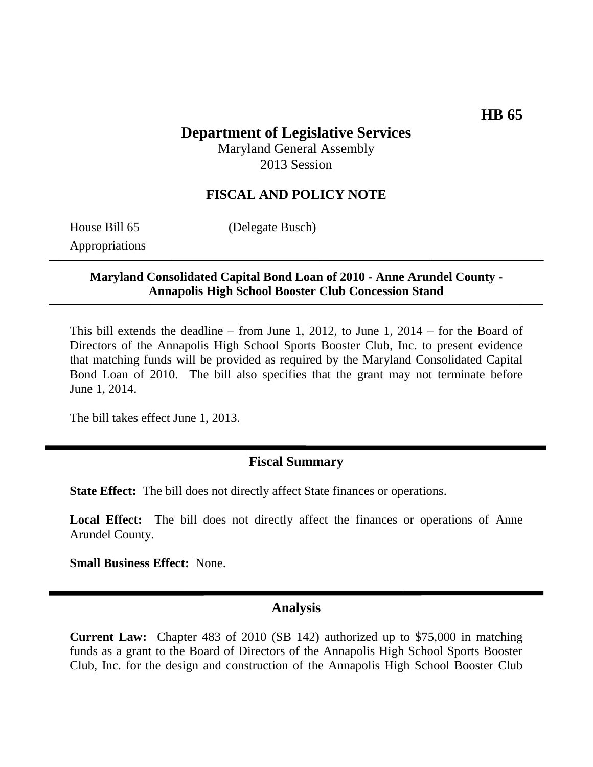## **HB 65**

# **Department of Legislative Services**

Maryland General Assembly 2013 Session

### **FISCAL AND POLICY NOTE**

House Bill 65 (Delegate Busch)

Appropriations

#### **Maryland Consolidated Capital Bond Loan of 2010 - Anne Arundel County - Annapolis High School Booster Club Concession Stand**

This bill extends the deadline – from June 1, 2012, to June 1, 2014 – for the Board of Directors of the Annapolis High School Sports Booster Club, Inc. to present evidence that matching funds will be provided as required by the Maryland Consolidated Capital Bond Loan of 2010. The bill also specifies that the grant may not terminate before June 1, 2014.

The bill takes effect June 1, 2013.

### **Fiscal Summary**

**State Effect:** The bill does not directly affect State finances or operations.

Local Effect: The bill does not directly affect the finances or operations of Anne Arundel County.

**Small Business Effect:** None.

#### **Analysis**

**Current Law:** Chapter 483 of 2010 (SB 142) authorized up to \$75,000 in matching funds as a grant to the Board of Directors of the Annapolis High School Sports Booster Club, Inc. for the design and construction of the Annapolis High School Booster Club